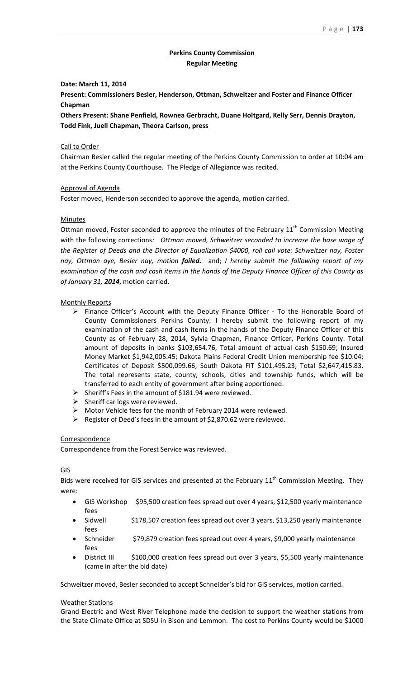# **Perkins County Commission Regular Meeting**

# **Date: March 11, 2014**

**Present: Commissioners Besler, Henderson, Ottman, Schweitzer and Foster and Finance Officer Chapman**

**Others Present: Shane Penfield, Rownea Gerbracht, Duane Holtgard, Kelly Serr, Dennis Drayton, Todd Fink, Juell Chapman, Theora Carlson, press**

# Call to Order

Chairman Besler called the regular meeting of the Perkins County Commission to order at 10:04 am at the Perkins County Courthouse. The Pledge of Allegiance was recited.

# Approval of Agenda

Foster moved, Henderson seconded to approve the agenda, motion carried.

# Minutes

Ottman moved, Foster seconded to approve the minutes of the February  $11<sup>th</sup>$  Commission Meeting with the following corrections*: Ottman moved, Schweitzer seconded to increase the base wage of the Register of Deeds and the Director of Equalization \$4000, roll call vote: Schweitzer nay, Foster nay, Ottman aye, Besler nay, motion failed.*  and; *I hereby submit the following report of my* examination of the cash and cash items in the hands of the Deputy Finance Officer of this County as *of January 31, 2014*, motion carried.

### Monthly Reports

- $\triangleright$  Finance Officer's Account with the Deputy Finance Officer To the Honorable Board of County Commissioners Perkins County: I hereby submit the following report of my examination of the cash and cash items in the hands of the Deputy Finance Officer of this County as of February 28, 2014, Sylvia Chapman, Finance Officer, Perkins County. Total amount of deposits in banks \$103,654.76, Total amount of actual cash \$150.69; Insured Money Market \$1,942,005.45; Dakota Plains Federal Credit Union membership fee \$10.04; Certificates of Deposit \$500,099.66; South Dakota FIT \$101,495.23; Total \$2,647,415.83. The total represents state, county, schools, cities and township funds, which will be transferred to each entity of government after being apportioned.
- $\triangleright$  Sheriff's Fees in the amount of \$181.94 were reviewed.
- $\triangleright$  Sheriff car logs were reviewed.
- Motor Vehicle fees for the month of February 2014 were reviewed.
- $\triangleright$  Register of Deed's fees in the amount of \$2,870.62 were reviewed.

### Correspondence

Correspondence from the Forest Service was reviewed.

### GIS

Bids were received for GIS services and presented at the February  $11<sup>th</sup>$  Commission Meeting. They were:

- GIS Workshop \$95,500 creation fees spread out over 4 years, \$12,500 yearly maintenance fees
- Sidwell \$178,507 creation fees spread out over 3 years, \$13,250 yearly maintenance fees
- Schneider \$79,879 creation fees spread out over 4 years, \$9,000 yearly maintenance fees
- District III \$100,000 creation fees spread out over 3 years, \$5,500 yearly maintenance (came in after the bid date)

Schweitzer moved, Besler seconded to accept Schneider's bid for GIS services, motion carried.

#### Weather Stations

Grand Electric and West River Telephone made the decision to support the weather stations from the State Climate Office at SDSU in Bison and Lemmon. The cost to Perkins County would be \$1000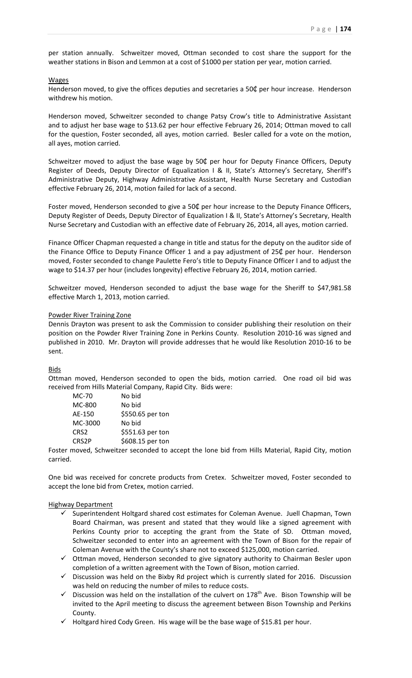per station annually. Schweitzer moved, Ottman seconded to cost share the support for the weather stations in Bison and Lemmon at a cost of \$1000 per station per year, motion carried.

### **Wages**

Henderson moved, to give the offices deputies and secretaries a  $50¢$  per hour increase. Henderson withdrew his motion.

Henderson moved, Schweitzer seconded to change Patsy Crow's title to Administrative Assistant and to adjust her base wage to \$13.62 per hour effective February 26, 2014; Ottman moved to call for the question, Foster seconded, all ayes, motion carried. Besler called for a vote on the motion, all ayes, motion carried.

Schweitzer moved to adjust the base wage by 50¢ per hour for Deputy Finance Officers, Deputy Register of Deeds, Deputy Director of Equalization I & II, State's Attorney's Secretary, Sheriff's Administrative Deputy, Highway Administrative Assistant, Health Nurse Secretary and Custodian effective February 26, 2014, motion failed for lack of a second.

Foster moved, Henderson seconded to give a 50¢ per hour increase to the Deputy Finance Officers, Deputy Register of Deeds, Deputy Director of Equalization I & II, State's Attorney's Secretary, Health Nurse Secretary and Custodian with an effective date of February 26, 2014, all ayes, motion carried.

Finance Officer Chapman requested a change in title and status for the deputy on the auditor side of the Finance Office to Deputy Finance Officer 1 and a pay adjustment of 25¢ per hour. Henderson moved, Foster seconded to change Paulette Fero's title to Deputy Finance Officer I and to adjust the wage to \$14.37 per hour (includes longevity) effective February 26, 2014, motion carried.

Schweitzer moved, Henderson seconded to adjust the base wage for the Sheriff to \$47,981.58 effective March 1, 2013, motion carried.

### Powder River Training Zone

Dennis Drayton was present to ask the Commission to consider publishing their resolution on their position on the Powder River Training Zone in Perkins County. Resolution 2010‐16 was signed and published in 2010. Mr. Drayton will provide addresses that he would like Resolution 2010‐16 to be sent.

### **Bids**

Ottman moved, Henderson seconded to open the bids, motion carried. One road oil bid was received from Hills Material Company, Rapid City. Bids were:

| MC-70            | No bid           |
|------------------|------------------|
| MC-800           | No bid           |
| AE-150           | \$550.65 per ton |
| MC-3000          | No bid           |
| CRS <sub>2</sub> | \$551.63 per ton |
| CRS2P            | \$608.15 per ton |
|                  |                  |

Foster moved, Schweitzer seconded to accept the lone bid from Hills Material, Rapid City, motion carried.

One bid was received for concrete products from Cretex. Schweitzer moved, Foster seconded to accept the lone bid from Cretex, motion carried.

# Highway Department

- $\checkmark$  Superintendent Holtgard shared cost estimates for Coleman Avenue. Juell Chapman, Town Board Chairman, was present and stated that they would like a signed agreement with Perkins County prior to accepting the grant from the State of SD. Ottman moved, Schweitzer seconded to enter into an agreement with the Town of Bison for the repair of Coleman Avenue with the County's share not to exceed \$125,000, motion carried.
- $\checkmark$  Ottman moved, Henderson seconded to give signatory authority to Chairman Besler upon completion of a written agreement with the Town of Bison, motion carried.
- $\checkmark$  Discussion was held on the Bixby Rd project which is currently slated for 2016. Discussion was held on reducing the number of miles to reduce costs.
- $\checkmark$  Discussion was held on the installation of the culvert on 178<sup>th</sup> Ave. Bison Township will be invited to the April meeting to discuss the agreement between Bison Township and Perkins County.
- $\checkmark$  Holtgard hired Cody Green. His wage will be the base wage of \$15.81 per hour.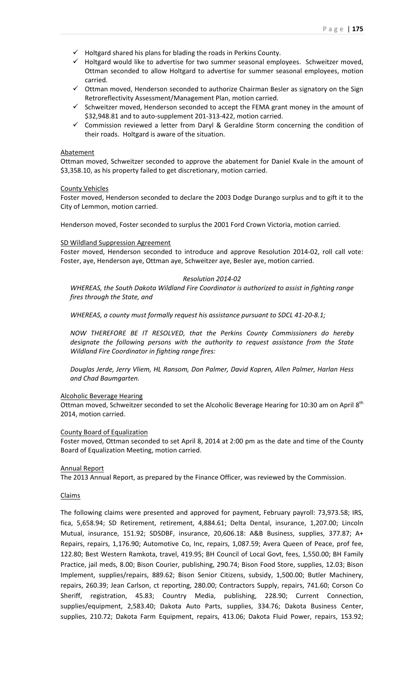- $\checkmark$  Holtgard shared his plans for blading the roads in Perkins County.
- $\checkmark$  Holtgard would like to advertise for two summer seasonal employees. Schweitzer moved, Ottman seconded to allow Holtgard to advertise for summer seasonal employees, motion carried.
- $\checkmark$  Ottman moved, Henderson seconded to authorize Chairman Besler as signatory on the Sign Retroreflectivity Assessment/Management Plan, motion carried.
- $\checkmark$  Schweitzer moved, Henderson seconded to accept the FEMA grant money in the amount of \$32,948.81 and to auto‐supplement 201‐313‐422, motion carried.
- $\checkmark$  Commission reviewed a letter from Daryl & Geraldine Storm concerning the condition of their roads. Holtgard is aware of the situation.

### Abatement

Ottman moved, Schweitzer seconded to approve the abatement for Daniel Kvale in the amount of \$3,358.10, as his property failed to get discretionary, motion carried.

### County Vehicles

Foster moved, Henderson seconded to declare the 2003 Dodge Durango surplus and to gift it to the City of Lemmon, motion carried.

Henderson moved, Foster seconded to surplus the 2001 Ford Crown Victoria, motion carried.

### SD Wildland Suppression Agreement

Foster moved, Henderson seconded to introduce and approve Resolution 2014‐02, roll call vote: Foster, aye, Henderson aye, Ottman aye, Schweitzer aye, Besler aye, motion carried.

### *Resolution 2014‐02*

*WHEREAS, the South Dakota Wildland Fire Coordinator is authorized to assist in fighting range fires through the State, and*

*WHEREAS, a county must formally request his assistance pursuant to SDCL 41‐20‐8.1;*

*NOW THEREFORE BE IT RESOLVED, that the Perkins County Commissioners do hereby designate the following persons with the authority to request assistance from the State Wildland Fire Coordinator in fighting range fires:*

*Douglas Jerde, Jerry Vliem, HL Ransom, Don Palmer, David Kopren, Allen Palmer, Harlan Hess and Chad Baumgarten.*

### Alcoholic Beverage Hearing

Ottman moved, Schweitzer seconded to set the Alcoholic Beverage Hearing for 10:30 am on April 8<sup>th</sup> 2014, motion carried.

# County Board of Equalization

Foster moved, Ottman seconded to set April 8, 2014 at 2:00 pm as the date and time of the County Board of Equalization Meeting, motion carried.

### Annual Report

The 2013 Annual Report, as prepared by the Finance Officer, was reviewed by the Commission.

### Claims

The following claims were presented and approved for payment, February payroll: 73,973.58; IRS, fica, 5,658.94; SD Retirement, retirement, 4,884.61; Delta Dental, insurance, 1,207.00; Lincoln Mutual, insurance, 151.92; SDSDBF, insurance, 20,606.18: A&B Business, supplies, 377.87; A+ Repairs, repairs, 1,176.90; Automotive Co, Inc, repairs, 1,087.59; Avera Queen of Peace, prof fee, 122.80; Best Western Ramkota, travel, 419.95; BH Council of Local Govt, fees, 1,550.00; BH Family Practice, jail meds, 8.00; Bison Courier, publishing, 290.74; Bison Food Store, supplies, 12.03; Bison Implement, supplies/repairs, 889.62; Bison Senior Citizens, subsidy, 1,500.00; Butler Machinery, repairs, 260.39; Jean Carlson, ct reporting, 280.00; Contractors Supply, repairs, 741.60; Corson Co Sheriff, registration, 45.83; Country Media, publishing, 228.90; Current Connection, supplies/equipment, 2,583.40; Dakota Auto Parts, supplies, 334.76; Dakota Business Center, supplies, 210.72; Dakota Farm Equipment, repairs, 413.06; Dakota Fluid Power, repairs, 153.92;